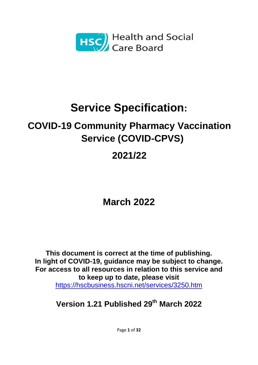

# **Service Specification:**

## **COVID-19 Community Pharmacy Vaccination Service (COVID-CPVS)**

## **2021/22**

## **March 2022**

**This document is correct at the time of publishing. In light of COVID-19, guidance may be subject to change. For access to all resources in relation to this service and to keep up to date, please visit** 

<https://hscbusiness.hscni.net/services/3250.htm>

**Version 1.21 Published 29th March 2022**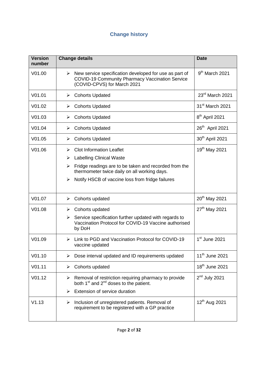## **Change history**

| <b>Version</b><br>number | <b>Change details</b>                                                                                                                                                                                                                               | <b>Date</b>                 |
|--------------------------|-----------------------------------------------------------------------------------------------------------------------------------------------------------------------------------------------------------------------------------------------------|-----------------------------|
| V01.00                   | New service specification developed for use as part of<br>≻<br><b>COVID-19 Community Pharmacy Vaccination Service</b><br>(COVID-CPVS) for March 2021                                                                                                | $9th$ March 2021            |
| V <sub>01.01</sub>       | <b>Cohorts Updated</b><br>≻                                                                                                                                                                                                                         | 23rd March 2021             |
| V <sub>01.02</sub>       | <b>Cohorts Updated</b><br>➤                                                                                                                                                                                                                         | 31 <sup>st</sup> March 2021 |
| V01.03                   | <b>Cohorts Updated</b><br>➤                                                                                                                                                                                                                         | 8 <sup>th</sup> April 2021  |
| V01.04                   | <b>Cohorts Updated</b><br>≻                                                                                                                                                                                                                         | 26 <sup>th</sup> April 2021 |
| V01.05                   | <b>Cohorts Updated</b><br>➤                                                                                                                                                                                                                         | 30 <sup>th</sup> April 2021 |
| V01.06                   | <b>Clot Information Leaflet</b><br>⋗<br><b>Labelling Clinical Waste</b><br>➤<br>Fridge readings are to be taken and recorded from the<br>⋗<br>thermometer twice daily on all working days.<br>Notify HSCB of vaccine loss from fridge failures<br>➤ | 19th May 2021               |
| V01.07                   | Cohorts updated<br>➤                                                                                                                                                                                                                                | 20 <sup>th</sup> May 2021   |
| V01.08                   | Cohorts updated<br>➤<br>Service specification further updated with regards to<br>➤<br>Vaccination Protocol for COVID-19 Vaccine authorised<br>by DoH                                                                                                | 27 <sup>th</sup> May 2021   |
| V <sub>01.09</sub>       | Link to PGD and Vaccination Protocol for COVID-19<br>⋗<br>vaccine updated                                                                                                                                                                           | 1 <sup>st</sup> June 2021   |
| V <sub>01.10</sub>       | Dose interval updated and ID requirements updated<br>➤                                                                                                                                                                                              | 11 <sup>th</sup> June 2021  |
| V01.11                   | Cohorts updated<br>≻                                                                                                                                                                                                                                | 18 <sup>th</sup> June 2021  |
| V01.12                   | Removal of restriction requiring pharmacy to provide<br>➤<br>both $1st$ and $2nd$ doses to the patient.<br>Extension of service duration<br>≻                                                                                                       | $2nd$ July 2021             |
| V1.13                    | Inclusion of unregistered patients. Removal of<br>➤<br>requirement to be registered with a GP practice                                                                                                                                              | 12 <sup>th</sup> Aug 2021   |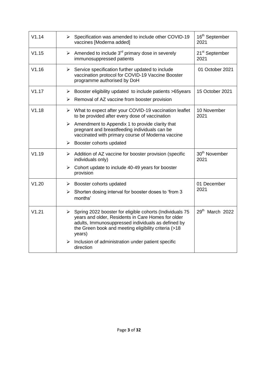| V1.14 | Specification was amended to include other COVID-19<br>➤<br>vaccines [Moderna added]                                                                                                                                                                                                                                    | 16 <sup>th</sup> September<br>2021 |
|-------|-------------------------------------------------------------------------------------------------------------------------------------------------------------------------------------------------------------------------------------------------------------------------------------------------------------------------|------------------------------------|
| V1.15 | Amended to include 3 <sup>rd</sup> primary dose in severely<br>➤<br>immunosuppressed patients                                                                                                                                                                                                                           | 21 <sup>st</sup> September<br>2021 |
| V1.16 | Service specification further updated to include<br>➤<br>vaccination protocol for COVID-19 Vaccine Booster<br>programme authorised by DoH                                                                                                                                                                               | 01 October 2021                    |
| V1.17 | Booster eligibility updated to include patients >65years<br>➤<br>Removal of AZ vaccine from booster provision<br>➤                                                                                                                                                                                                      | 15 October 2021                    |
| V1.18 | $\triangleright$ What to expect after your COVID-19 vaccination leaflet<br>to be provided after every dose of vaccination<br>Amendment to Appendix 1 to provide clarity that<br>➤<br>pregnant and breastfeeding individuals can be<br>vaccinated with primary course of Moderna vaccine<br>Booster cohorts updated<br>➤ | 10 November<br>2021                |
| V1.19 | Addition of AZ vaccine for booster provision (specific<br>➤<br>individuals only)<br>Cohort update to include 40-49 years for booster<br>≻<br>provision                                                                                                                                                                  | 30 <sup>th</sup> November<br>2021  |
| V1.20 | Booster cohorts updated<br>➤<br>Shorten dosing interval for booster doses to 'from 3<br>➤<br>months'                                                                                                                                                                                                                    | 01 December<br>2021                |
| V1.21 | ≻<br>Spring 2022 booster for eligible cohorts (Individuals 75<br>years and older, Residents in Care Homes for older<br>adults, Immunosuppressed individuals as defined by<br>the Green book and meeting eligibility criteria (>18<br>years)<br>Inclusion of administration under patient specific<br>direction          | 29th March 2022                    |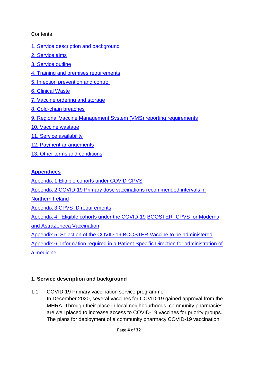## **Contents**

- [1. Service description and background](#page-3-0)
- [2. Service aims](#page-5-0)
- [3. Service outline](#page-5-1)
- [4. Training and premises requirements](#page-9-0)
- [5. Infection prevention and control](#page-11-0)
- [6. Clinical Waste](#page-11-1)
- [7. Vaccine ordering and](#page-12-0) storage
- [8. Cold-chain breaches](#page-13-0)
- [9. Regional Vaccine Management System \(VMS\) reporting requirements](#page-15-0)
- [10. Vaccine wastage](#page-16-0)
- [11. Service availability](#page-17-0)
- [12. Payment arrangements](#page-17-1)
- [13. Other terms and conditions](#page-17-2)

## **Appendices**

Appendix 1 [Eligible cohorts under COVID-CPVS](#page-18-0)

[Appendix 2 COVID-19 Primary dose vaccinations recommended intervals in](#page-18-0) 

[Northern Ireland](#page-18-0) 

Appendix 3 [CPVS ID requirements](#page-22-0)

[Appendix 4. Eligible cohorts under the COVID-19](#page-26-0) BOOSTER -CPVS for Moderna [and AstraZeneca Vaccination](#page-26-0)

[Appendix 5. Selection of the COVID-19 BOOSTER Vaccine to be administered](#page-29-0)

Appendix 6. Information required in a Patient Specific Direction for administration of a medicine

## <span id="page-3-0"></span>**1. Service description and background**

1.1 COVID-19 Primary vaccination service programme In December 2020, several vaccines for COVID-19 gained approval from the MHRA. Through their place in local neighbourhoods, community pharmacies are well placed to increase access to COVID-19 vaccines for priority groups. The plans for deployment of a community pharmacy COVID-19 vaccination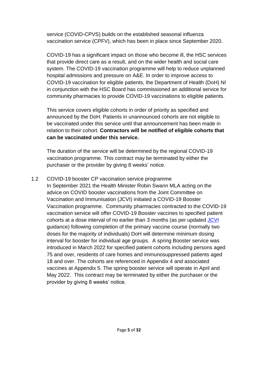service (COVID-CPVS) builds on the established seasonal influenza vaccination service (CPFV), which has been in place since September 2020.

COVID-19 has a significant impact on those who become ill, the HSC services that provide direct care as a result, and on the wider health and social care system. The COVID-19 vaccination programme will help to reduce unplanned hospital admissions and pressure on A&E. In order to improve access to COVID-19 vaccination for eligible patients, the Department of Health (DoH) NI in conjunction with the HSC Board has commissioned an additional service for community pharmacies to provide COVID-19 vaccinations to eligible patients.

This service covers eligible cohorts in order of priority as specified and announced by the DoH. Patients in unannounced cohorts are not eligible to be vaccinated under this service until that announcement has been made in relation to their cohort. **Contractors will be notified of eligible cohorts that can be vaccinated under this service.**

The duration of the service will be determined by the regional COVID-19 vaccination programme. This contract may be terminated by either the purchaser or the provider by giving 8 weeks' notice.

1.2 COVID-19 booster CP vaccination service programme In September 2021 the Health Minister Robin Swann MLA acting on the advice on COVID booster vaccinations from the Joint Committee on Vaccination and Immunisation (JCVI) initiated a COVID-19 Booster Vaccination programme. Community pharmacies contracted to the COVID-19 vaccination service will offer COVID-19 Booster vaccines to specified patient cohorts at a dose interval of no earlier than 3 months (as per updated [JCVI](https://www.gov.uk/government/publications/uk-vaccine-response-to-the-omicron-variant-jcvi-advice/jcvi-advice-on-the-uk-vaccine-response-to-the-omicron-variant) guidance) following completion of the primary vaccine course (normally two doses for the majority of individuals) DoH will determine minimum dosing interval for booster for individual age groups. A spring Booster service was introduced in March 2022 for specified patient cohorts including persons aged 75 and over, residents of care homes and immunosuppressed patients aged 18 and over. The cohorts are referenced in Appendix 4 and associated vaccines at Appendix 5. The spring booster service will operate in April and May 2022. This contract may be terminated by either the purchaser or the provider by giving 8 weeks' notice.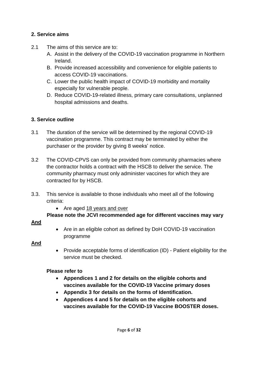## <span id="page-5-0"></span>**2. Service aims**

- 2.1 The aims of this service are to:
	- A. Assist in the delivery of the COVID-19 vaccination programme in Northern Ireland.
	- B. Provide increased accessibility and convenience for eligible patients to access COVID-19 vaccinations.
	- C. Lower the public health impact of COVID-19 morbidity and mortality especially for vulnerable people.
	- D. Reduce COVID-19-related illness, primary care consultations, unplanned hospital admissions and deaths.

## <span id="page-5-1"></span>**3. Service outline**

- 3.1 The duration of the service will be determined by the regional COVID-19 vaccination programme. This contract may be terminated by either the purchaser or the provider by giving 8 weeks' notice.
- 3.2 The COVID-CPVS can only be provided from community pharmacies where the contractor holds a contract with the HSCB to deliver the service. The community pharmacy must only administer vaccines for which they are contracted for by HSCB.
- 3.3. This service is available to those individuals who meet all of the following criteria:
	- Are aged 18 years and over

## **Please note the JCVI recommended age for different vaccines may vary**

## **And**

 Are in an eligible cohort as defined by DoH COVID-19 vaccination programme

## **And**

• Provide acceptable forms of identification (ID) - Patient eligibility for the service must be checked.

## **Please refer to**

- **Appendices 1 and 2 for details on the eligible cohorts and vaccines available for the COVID-19 Vaccine primary doses**
- **Appendix 3 for details on the forms of Identification.**
- **Appendices 4 and 5 for details on the eligible cohorts and vaccines available for the COVID-19 Vaccine BOOSTER doses.**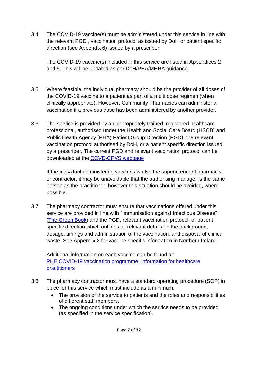3.4 The COVID-19 vaccine(s) must be administered under this service in line with the relevant PGD , vaccination protocol as issued by DoH or patient specific direction (see Appendix 6) issued by a prescriber.

The COVID-19 vaccine(s) included in this service are listed in Appendices 2 and 5. This will be updated as per DoH/PHA/MHRA guidance.

- 3.5 Where feasible, the individual pharmacy should be the provider of all doses of the COVID-19 vaccine to a patient as part of a multi dose regimen (when clinically appropriate). However, Community Pharmacies can administer a vaccination if a previous dose has been administered by another provider.
- 3.6 The service is provided by an appropriately trained, registered healthcare professional, authorised under the Health and Social Care Board (HSCB) and Public Health Agency (PHA) Patient Group Direction (PGD), the relevant vaccination protocol authorised by DoH, or a patient specific direction issued by a prescriber. The current PGD and relevant vaccination protocol can be downloaded at the [COVD-CPVS webpage](https://hscbusiness.hscni.net/services/3250.htm)

If the individual administering vaccines is also the superintendent pharmacist or contractor, it may be unavoidable that the authorising manager is the same person as the practitioner, however this situation should be avoided, where possible.

3.7 The pharmacy contractor must ensure that vaccinations offered under this service are provided in line with "Immunisation against Infectious Disease" [\(The Green Book\)](https://www.gov.uk/government/collections/immunisation-against-infectious-disease-the-green-book) and the PGD, relevant vaccination protocol, or patient specific direction which outlines all relevant details on the background, dosage, timings and administration of the vaccination, and disposal of clinical waste. See Appendix 2 for vaccine specific information in Northern Ireland.

Additional information on each vaccine can be found at: [PHE COVID-19 vaccination programme:](https://assets.publishing.service.gov.uk/government/uploads/system/uploads/attachment_data/file/958015/COVID-19_vaccination_programme_guidance_for_healthcare_workers_3_February_2021_v3.2.pdf) Information for healthcare [practitioners](https://assets.publishing.service.gov.uk/government/uploads/system/uploads/attachment_data/file/958015/COVID-19_vaccination_programme_guidance_for_healthcare_workers_3_February_2021_v3.2.pdf)

- 3.8 The pharmacy contractor must have a standard operating procedure (SOP) in place for this service which must include as a minimum:
	- The provision of the service to patients and the roles and responsibilities of different staff members.
	- The ongoing conditions under which the service needs to be provided (as specified in the service specification).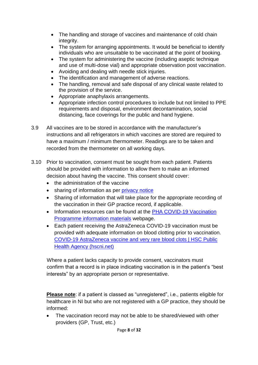- The handling and storage of vaccines and maintenance of cold chain integrity.
- The system for arranging appointments. It would be beneficial to identify individuals who are unsuitable to be vaccinated at the point of booking.
- The system for administering the vaccine (including aseptic technique and use of multi-dose vial) and appropriate observation post vaccination.
- Avoiding and dealing with needle stick injuries.
- The identification and management of adverse reactions.
- The handling, removal and safe disposal of any clinical waste related to the provision of the service.
- Appropriate anaphylaxis arrangements.
- Appropriate infection control procedures to include but not limited to PPE requirements and disposal, environment decontamination, social distancing, face coverings for the public and hand hygiene.
- 3.9 All vaccines are to be stored in accordance with the manufacturer's instructions and all refrigerators in which vaccines are stored are required to have a maximum / minimum thermometer. Readings are to be taken and recorded from the thermometer on all working days.
- 3.10 Prior to vaccination, consent must be sought from each patient. Patients should be provided with information to allow them to make an informed decision about having the vaccine. This consent should cover:
	- the administration of the vaccine
	- sharing of information as per [privacy notice](http://www.hscbusiness.hscni.net/services/3250.htm)
	- Sharing of information that will take place for the appropriate recording of the vaccination in their GP practice record, if applicable.
	- Information resources can be found at the PHA COVID-19 Vaccination [Programme information materials](https://www.publichealth.hscni.net/covid-19-coronavirus/northern-ireland-covid-19-vaccination-programme/covid-19-vaccination-0) webpage.
	- Each patient receiving the AstraZeneca COVID-19 vaccination must be provided with adequate information on blood clotting prior to vaccination. [COVID-19 AstraZeneca vaccine and very rare blood clots | HSC Public](https://www.publichealth.hscni.net/publications/covid-19-astrazeneca-vaccine-and-very-rare-blood-clots)  [Health Agency \(hscni.net\)](https://www.publichealth.hscni.net/publications/covid-19-astrazeneca-vaccine-and-very-rare-blood-clots)

Where a patient lacks capacity to provide consent, vaccinators must confirm that a record is in place indicating vaccination is in the patient's "best interests" by an appropriate person or representative.

**Please note**: if a patient is classed as "unregistered", i.e., patients eligible for healthcare in NI but who are not registered with a GP practice, they should be informed:

 The vaccination record may not be able to be shared/viewed with other providers (GP, Trust, etc.)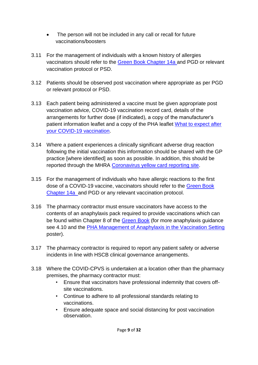- The person will not be included in any call or recall for future vaccinations/boosters
- 3.11 For the management of individuals with a known history of allergies vaccinators should refer to the [Green Book Chapter 14a](https://www.gov.uk/government/publications/covid-19-the-green-book-chapter-14a) and PGD or relevant vaccination protocol or PSD.
- 3.12 Patients should be observed post vaccination where appropriate as per PGD or relevant protocol or PSD.
- 3.13 Each patient being administered a vaccine must be given appropriate post vaccination advice, COVID-19 vaccination record card, details of the arrangements for further dose (if indicated), a copy of the manufacturer's patient information leaflet and a copy of the PHA leaflet [What to expect after](https://www.publichealth.hscni.net/publications/covid-19-vaccination-what-expect)  [your COVID-19 vaccination.](https://www.publichealth.hscni.net/publications/covid-19-vaccination-what-expect)
- 3.14 Where a patient experiences a clinically significant adverse drug reaction following the initial vaccination this information should be shared with the GP practice [where identified] as soon as possible. In addition, this should be reported through the MHRA [Coronavirus yellow card reporting site.](https://coronavirus-yellowcard.mhra.gov.uk/)
- 3.15 For the management of individuals who have allergic reactions to the first dose of a COVID-19 vaccine, vaccinators should refer to the [Green Book](https://www.gov.uk/government/publications/covid-19-the-green-book-chapter-14a)  [Chapter 14a](https://www.gov.uk/government/publications/covid-19-the-green-book-chapter-14a) and PGD or any relevant vaccination protocol.
- 3.16 The pharmacy contractor must ensure vaccinators have access to the contents of an anaphylaxis pack required to provide vaccinations which can be found within Chapter 8 of the [Green Book](https://www.gov.uk/government/collections/immunisation-against-infectious-disease-the-green-book) (for more anaphylaxis quidance see 4.10 and the [PHA Management of Anaphylaxis in the Vaccination Setting](https://www.publichealth.hscni.net/covid-19-coronavirus/northern-ireland-covid-19-vaccination-programme/professional-information) poster).
- 3.17 The pharmacy contractor is required to report any patient safety or adverse incidents in line with HSCB clinical governance arrangements.
- 3.18 Where the COVID-CPVS is undertaken at a location other than the pharmacy premises, the pharmacy contractor must:
	- Ensure that vaccinators have professional indemnity that covers offsite vaccinations.
	- Continue to adhere to all professional standards relating to vaccinations.
	- Ensure adequate space and social distancing for post vaccination observation.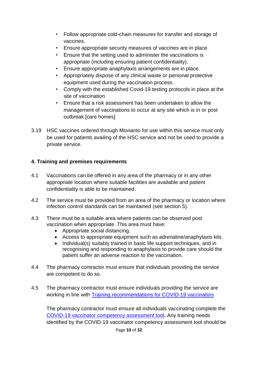- Follow appropriate cold-chain measures for transfer and storage of vaccines.
- Ensure appropriate security measures of vaccines are in place.
- Ensure that the setting used to administer the vaccinations is appropriate (including ensuring patient confidentiality).
- Ensure appropriate anaphylaxis arrangements are in place.
- Appropriately dispose of any clinical waste or personal protective equipment used during the vaccination process.
- Comply with the established Covid-19 testing protocols in place at the site of vaccination
- Ensure that a risk assessment has been undertaken to allow the management of vaccinations to occur at any site which is in or post outbreak [care homes]
- 3.19 HSC vaccines ordered through Movianto for use within this service must only be used for patients availing of the HSC service and not be used to provide a private service.

#### <span id="page-9-0"></span>**4. Training and premises requirements**

- 4.1 Vaccinations can be offered in any area of the pharmacy or in any other appropriate location where suitable facilities are available and patient confidentiality is able to be maintained.
- 4.2 The service must be provided from an area of the pharmacy or location where infection control standards can be maintained (see section 5).
- 4.3 There must be a suitable area where patients can be observed post vaccination when appropriate. This area must have:
	- Appropriate social distancing.
	- Access to appropriate equipment such as adrenaline/anaphylaxis kits.
	- Individual(s) suitably trained in basic life support techniques, and in recognising and responding to anaphylaxis to provide care should the patient suffer an adverse reaction to the vaccination.
- 4.4 The pharmacy contractor must ensure that individuals providing the service are competent to do so.
- 4.5 The pharmacy contractor must ensure individuals providing the service are working in line with [Training recommendations for COVID-19 vaccinators](https://www.gov.uk/government/publications/covid-19-vaccinator-training-recommendations/training-recommendations-for-covid-19-vaccinators)

The pharmacy contractor must ensure all individuals vaccinating complete the [COVID-19 vaccinator competency assessment tool](https://www.gov.uk/government/publications/covid-19-vaccinator-competency-assessment-tool)**.** Any training needs identified by the COVID-19 vaccinator competency assessment tool should be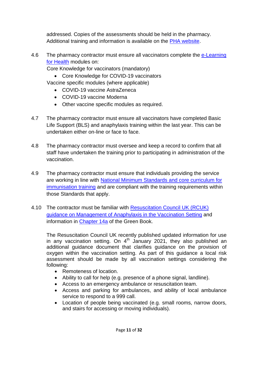addressed. Copies of the assessments should be held in the pharmacy. Additional training and information is available on the [PHA website.](https://www.publichealth.hscni.net/covid-19-coronavirus/northern-ireland-covid-19-vaccination-programme/professional-information)

- 4.6 The pharmacy contractor must ensure all vaccinators complete the e-Learning [for Health](https://www.e-lfh.org.uk/) modules on:
	- Core Knowledge for vaccinators (mandatory)
		- Core Knowledge for COVID-19 vaccinators

Vaccine specific modules (where applicable)

- COVID-19 vaccine AstraZeneca
- COVID-19 vaccine Moderna
- Other vaccine specific modules as required.
- 4.7 The pharmacy contractor must ensure all vaccinators have completed Basic Life Support (BLS) and anaphylaxis training within the last year. This can be undertaken either on-line or face to face.
- 4.8 The pharmacy contractor must oversee and keep a record to confirm that all staff have undertaken the training prior to participating in administration of the vaccination.
- 4.9 The pharmacy contractor must ensure that individuals providing the service are working in line with [National Minimum Standards](https://www.gov.uk/government/publications/national-minimum-standards-and-core-curriculum-for-immunisation-training-for-registered-healthcare-practitioners) and core curriculum for [immunisation training](https://www.gov.uk/government/publications/national-minimum-standards-and-core-curriculum-for-immunisation-training-for-registered-healthcare-practitioners) and are compliant with the training requirements within those Standards that apply.
- 4.10 The contractor must be familiar with [Resuscitation Council UK \(RCUK\)](https://www.resus.org.uk/about-us/news-and-events/rcuk-publishes-anaphylaxis-guidance-vaccination-settings)  [guidance on Management of Anaphylaxis in the Vaccination Setting](https://www.resus.org.uk/about-us/news-and-events/rcuk-publishes-anaphylaxis-guidance-vaccination-settings) and information in [Chapter 14a](https://www.gov.uk/government/publications/covid-19-the-green-book-chapter-14a) of the Green Book.

The Resuscitation Council UK recently published updated information for use in any vaccination setting. On  $4<sup>th</sup>$  January 2021, they also published an additional guidance document that clarifies guidance on the provision of oxygen within the vaccination setting. As part of this guidance a local risk assessment should be made by all vaccination settings considering the following:

- Remoteness of location.
- Ability to call for help (e.g. presence of a phone signal, landline).
- Access to an emergency ambulance or resuscitation team.
- Access and parking for ambulances, and ability of local ambulance service to respond to a 999 call.
- Location of people being vaccinated (e.g. small rooms, narrow doors, and stairs for accessing or moving individuals).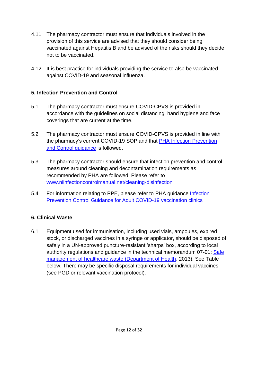- 4.11 The pharmacy contractor must ensure that individuals involved in the provision of this service are advised that they should consider being vaccinated against Hepatitis B and be advised of the risks should they decide not to be vaccinated.
- <span id="page-11-0"></span>4.12 It is best practice for individuals providing the service to also be vaccinated against COVID-19 and seasonal influenza.

## **5. Infection Prevention and Control**

- 5.1 The pharmacy contractor must ensure COVID-CPVS is provided in accordance with the guidelines on social distancing, hand hygiene and face coverings that are current at the time.
- 5.2 The pharmacy contractor must ensure COVID-CPVS is provided in line with the pharmacy's current COVID-19 SOP and that [PHA Infection Prevention](https://www.niinfectioncontrolmanual.net/)  [and Control guidance](https://www.niinfectioncontrolmanual.net/) is followed.
- 5.3 The pharmacy contractor should ensure that infection prevention and control measures around cleaning and decontamination requirements as recommended by PHA are followed. Please refer to [www.niinfectioncontrolmanual.net/cleaning-disinfection](http://www.niinfectioncontrolmanual.net/cleaning-disinfection)
- 5.4 For information relating to PPE, please refer to PHA guidance Infection [Prevention Control Guidance for Adult COVID-19](https://www.publichealth.hscni.net/sites/default/files/2020-12/Infection%20control%20guidance%20for%20adult%20COVID-19%20vaccination%20clinics_0.pdf) vaccination clinics

## <span id="page-11-1"></span>**6. Clinical Waste**

6.1 Equipment used for immunisation, including used vials, ampoules, expired stock, or discharged vaccines in a syringe or applicator, should be disposed of safely in a UN-approved puncture-resistant 'sharps' box, according to local authority regulations and guidance in the technical memorandum 07-01: [Safe](https://www.england.nhs.uk/wp-content/uploads/2021/05/HTM_07-01_Final.pdf)  [management of healthcare waste \(Department of Health,](https://www.england.nhs.uk/wp-content/uploads/2021/05/HTM_07-01_Final.pdf) 2013). See Table below. There may be specific disposal requirements for individual vaccines (see PGD or relevant vaccination protocol).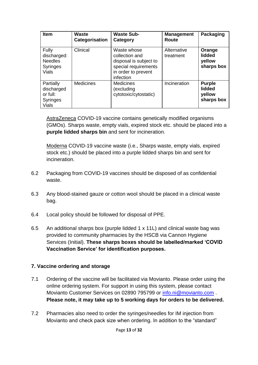| <b>Item</b>                                                            | <b>Waste</b><br>Categorisation | <b>Waste Sub-</b><br>Category                                                                                       | <b>Management</b><br>Route | Packaging                                       |
|------------------------------------------------------------------------|--------------------------------|---------------------------------------------------------------------------------------------------------------------|----------------------------|-------------------------------------------------|
| Fully<br>discharged:<br><b>Needles</b><br>Syringes<br>Vials            | Clinical                       | Waste whose<br>collection and<br>disposal is subject to<br>special requirements<br>in order to prevent<br>infection | Alternative<br>treatment   | Orange<br>lidded<br>yellow<br>sharps box        |
| Partially<br>discharged<br>or full:<br><b>Syringes</b><br><b>Vials</b> | <b>Medicines</b>               | <b>Medicines</b><br>(excluding<br>cytotoxic/cytostatic)                                                             | Incineration               | <b>Purple</b><br>lidded<br>yellow<br>sharps box |

AstraZeneca COVID-19 vaccine contains genetically modified organisms (GMOs). Sharps waste, empty vials, expired stock etc. should be placed into a **purple lidded sharps bin** and sent for incineration.

Moderna COVID-19 vaccine waste (i.e., Sharps waste, empty vials, expired stock etc.) should be placed into a purple lidded sharps bin and sent for incineration.

- 6.2 Packaging from COVID-19 vaccines should be disposed of as confidential waste.
- 6.3 Any blood-stained gauze or cotton wool should be placed in a clinical waste bag.
- 6.4 Local policy should be followed for disposal of PPE.
- 6.5 An additional sharps box (purple lidded 1 x 11L) and clinical waste bag was provided to community pharmacies by the HSCB via Cannon Hygiene Services (Initial). **These sharps boxes should be labelled/marked 'COVID Vaccination Service' for identification purposes.**

#### <span id="page-12-0"></span>**7. Vaccine ordering and storage**

- 7.1 Ordering of the vaccine will be facilitated via Movianto. Please order using the online ordering system. For support in using this system, please contact Movianto Customer Services on 02890 795799 or [info.ni@movianto.com](mailto:info.ni@movianto.com) . **Please note, it may take up to 5 working days for orders to be delivered.**
- 7.2 Pharmacies also need to order the syringes/needles for IM injection from Movianto and check pack size when ordering. In addition to the "standard"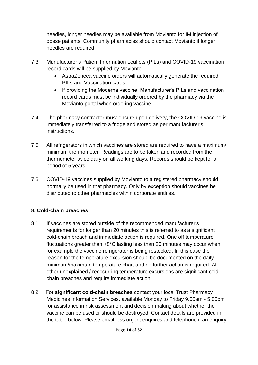needles, longer needles may be available from Movianto for IM injection of obese patients. Community pharmacies should contact Movianto if longer needles are required.

- 7.3 Manufacturer's Patient Information Leaflets (PILs) and COVID-19 vaccination record cards will be supplied by Movianto.
	- AstraZeneca vaccine orders will automatically generate the required PILs and Vaccination cards.
	- If providing the Moderna vaccine, Manufacturer's PILs and vaccination record cards must be individually ordered by the pharmacy via the Movianto portal when ordering vaccine.
- 7.4 The pharmacy contractor must ensure upon delivery, the COVID-19 vaccine is immediately transferred to a fridge and stored as per manufacturer's instructions.
- 7.5 All refrigerators in which vaccines are stored are required to have a maximum/ minimum thermometer. Readings are to be taken and recorded from the thermometer twice daily on all working days. Records should be kept for a period of 5 years.
- 7.6 COVID-19 vaccines supplied by Movianto to a registered pharmacy should normally be used in that pharmacy. Only by exception should vaccines be distributed to other pharmacies within corporate entities.

## <span id="page-13-0"></span>**8. Cold-chain breaches**

- 8.1 If vaccines are stored outside of the recommended manufacturer's requirements for longer than 20 minutes this is referred to as a significant cold-chain breach and immediate action is required. One off temperature fluctuations greater than +8°C lasting less than 20 minutes may occur when for example the vaccine refrigerator is being restocked. In this case the reason for the temperature excursion should be documented on the daily minimum/maximum temperature chart and no further action is required. All other unexplained / reoccurring temperature excursions are significant cold chain breaches and require immediate action.
- 8.2 For **significant cold-chain breaches** contact your local Trust Pharmacy Medicines Information Services, available Monday to Friday 9.00am - 5.00pm for assistance in risk assessment and decision making about whether the vaccine can be used or should be destroyed. Contact details are provided in the table below. Please email less urgent enquires and telephone if an enquiry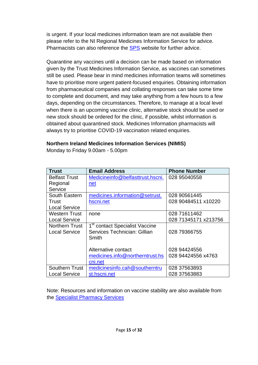is urgent. If your local medicines information team are not available then please refer to the NI Regional Medicines Information Service for advice. Pharmacists can also reference the [SPS](https://www.sps.nhs.uk/home/covid-19-vaccines/) website for further advice.

Quarantine any vaccines until a decision can be made based on information given by the Trust Medicines Information Service, as vaccines can sometimes still be used. Please bear in mind medicines information teams will sometimes have to prioritise more urgent patient-focused enquiries. Obtaining information from pharmaceutical companies and collating responses can take some time to complete and document, and may take anything from a few hours to a few days, depending on the circumstances. Therefore, to manage at a local level when there is an upcoming vaccine clinic, alternative stock should be used or new stock should be ordered for the clinic, if possible, whilst information is obtained about quarantined stock. Medicines Information pharmacists will always try to prioritise COVID-19 vaccination related enquiries.

#### **Northern Ireland Medicines Information Services (NIMIS)**

Monday to Friday 9.00am - 5.00pm

| <b>Trust</b>          | <b>Email Address</b>                       | <b>Phone Number</b>  |
|-----------------------|--------------------------------------------|----------------------|
| <b>Belfast Trust</b>  | Medicineinfo@belfasttrust.hscni.           | 028 95040558         |
| Regional              | net                                        |                      |
| Service               |                                            |                      |
| South Eastern         | medicines.information@setrust.             | 028 90561445         |
| Trust                 | hscni.net                                  | 028 90484511 x10220  |
| <b>Local Service</b>  |                                            |                      |
| <b>Western Trust</b>  | none                                       | 028 71611462         |
| <b>Local Service</b>  |                                            | 028 71345171 x213756 |
| Northern Trust        | 1 <sup>st</sup> contact Specialist Vaccine |                      |
| <b>Local Service</b>  | Services Technician: Gillian               | 028 79366755         |
|                       | Smith                                      |                      |
|                       |                                            |                      |
|                       | Alternative contact                        | 028 94424556         |
|                       | medicines.info@northerntrust.hs            | 028 94424556 x4763   |
|                       | cni.net                                    |                      |
| <b>Southern Trust</b> | medicinesinfo.cah@southerntru              | 028 37563893         |
| <b>Local Service</b>  | st.hscni.net                               | 028 37563883         |

Note: Resources and information on vaccine stability are also available from the [Specialist Pharmacy Services](https://www.sps.nhs.uk/articles/the-covid-19-vaccination-programme-in-community-pharmacies-and-sps-support/)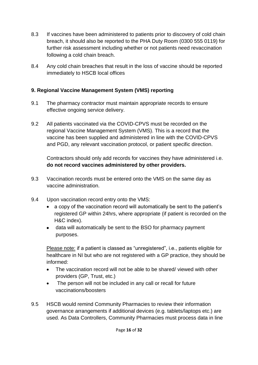- 8.3 If vaccines have been administered to patients prior to discovery of cold chain breach, it should also be reported to the PHA Duty Room (0300 555 0119) for further risk assessment including whether or not patients need revaccination following a cold chain breach.
- <span id="page-15-0"></span>8.4 Any cold chain breaches that result in the loss of vaccine should be reported immediately to HSCB local offices

## **9. Regional Vaccine Management System (VMS) reporting**

- 9.1 The pharmacy contractor must maintain appropriate records to ensure effective ongoing service delivery.
- 9.2 All patients vaccinated via the COVID-CPVS must be recorded on the regional Vaccine Management System (VMS). This is a record that the vaccine has been supplied and administered in line with the COVID-CPVS and PGD, any relevant vaccination protocol, or patient specific direction.

Contractors should only add records for vaccines they have administered i.e. **do not record vaccines administered by other providers.**

- 9.3 Vaccination records must be entered onto the VMS on the same day as vaccine administration.
- 9.4 Upon vaccination record entry onto the VMS:
	- a copy of the vaccination record will automatically be sent to the patient's registered GP within 24hrs, where appropriate (if patient is recorded on the H&C index).
	- data will automatically be sent to the BSO for pharmacy payment purposes.

Please note: if a patient is classed as "unregistered", i.e., patients eligible for healthcare in NI but who are not registered with a GP practice, they should be informed:

- The vaccination record will not be able to be shared/ viewed with other providers (GP, Trust, etc.)
- The person will not be included in any call or recall for future vaccinations/boosters
- 9.5 HSCB would remind Community Pharmacies to review their information governance arrangements if additional devices (e.g. tablets/laptops etc.) are used. As Data Controllers, Community Pharmacies must process data in line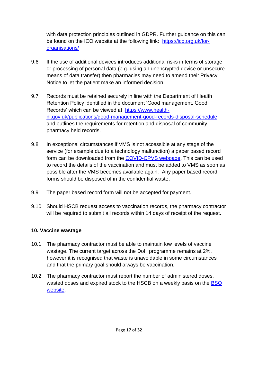with data protection principles outlined in GDPR. Further guidance on this can be found on the ICO website at the following link: [https://ico.org.uk/for](https://ico.org.uk/for-organisations/)[organisations/](https://ico.org.uk/for-organisations/)

- 9.6 If the use of additional devices introduces additional risks in terms of storage or processing of personal data (e.g. using an unencrypted device or unsecure means of data transfer) then pharmacies may need to amend their Privacy Notice to let the patient make an informed decision.
- 9.7 Records must be retained securely in line with the Department of Health Retention Policy identified in the document 'Good management, Good Records' which can be viewed at [https://www.health](https://www.health-ni.gov.uk/publications/good-management-good-records-disposal-schedule)[ni.gov.uk/publications/good-management-good-records-disposal-schedule](https://www.health-ni.gov.uk/publications/good-management-good-records-disposal-schedule) and outlines the requirements for retention and disposal of community pharmacy held records.
- 9.8 In exceptional circumstances if VMS is not accessible at any stage of the service (for example due to a technology malfunction) a paper based record form can be downloaded from the [COVID-CPVS webpage.](https://hscbusiness.hscni.net/services/3250.htm) This can be used to record the details of the vaccination and must be added to VMS as soon as possible after the VMS becomes available again. Any paper based record forms should be disposed of in the confidential waste.
- 9.9 The paper based record form will not be accepted for payment.
- 9.10 Should HSCB request access to vaccination records, the pharmacy contractor will be required to submit all records within 14 days of receipt of the request.

#### <span id="page-16-0"></span>**10. Vaccine wastage**

- 10.1 The pharmacy contractor must be able to maintain low levels of vaccine wastage. The current target across the DoH programme remains at 2%, however it is recognised that waste is unavoidable in some circumstances and that the primary goal should always be vaccination.
- 10.2 The pharmacy contractor must report the number of administered doses, wasted doses and expired stock to the HSCB on a weekly basis on the [BSO](http://www.hscbusiness.hscni.net/services/3250.htm)  [website.](http://www.hscbusiness.hscni.net/services/3250.htm)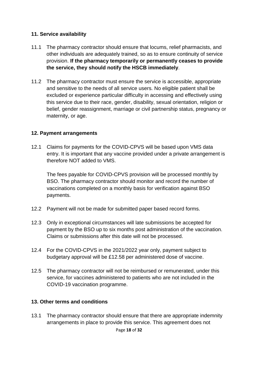#### <span id="page-17-0"></span>**11. Service availability**

- 11.1 The pharmacy contractor should ensure that locums, relief pharmacists, and other individuals are adequately trained, so as to ensure continuity of service provision. **If the pharmacy temporarily or permanently ceases to provide the service, they should notify the HSCB immediately**.
- 11.2 The pharmacy contractor must ensure the service is accessible, appropriate and sensitive to the needs of all service users. No eligible patient shall be excluded or experience particular difficulty in accessing and effectively using this service due to their race, gender, disability, sexual orientation, religion or belief, gender reassignment, marriage or civil partnership status, pregnancy or maternity, or age.

#### <span id="page-17-1"></span>**12. Payment arrangements**

12.1 Claims for payments for the COVID-CPVS will be based upon VMS data entry. It is important that any vaccine provided under a private arrangement is therefore NOT added to VMS.

The fees payable for COVID-CPVS provision will be processed monthly by BSO. The pharmacy contractor should monitor and record the number of vaccinations completed on a monthly basis for verification against BSO payments.

- 12.2 Payment will not be made for submitted paper based record forms.
- 12.3 Only in exceptional circumstances will late submissions be accepted for payment by the BSO up to six months post administration of the vaccination. Claims or submissions after this date will not be processed.
- 12.4 For the COVID-CPVS in the 2021/2022 year only, payment subject to budgetary approval will be £12.58 per administered dose of vaccine.
- 12.5 The pharmacy contractor will not be reimbursed or remunerated, under this service, for vaccines administered to patients who are not included in the COVID-19 vaccination programme.

#### <span id="page-17-2"></span>**13. Other terms and conditions**

13.1 The pharmacy contractor should ensure that there are appropriate indemnity arrangements in place to provide this service. This agreement does not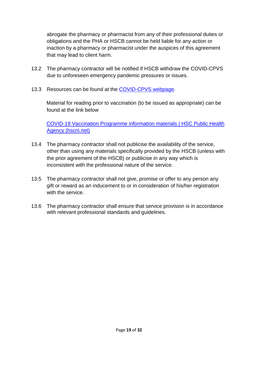abrogate the pharmacy or pharmacist from any of their professional duties or obligations and the PHA or HSCB cannot be held liable for any action or inaction by a pharmacy or pharmacist under the auspices of this agreement that may lead to client harm.

- 13.2 The pharmacy contractor will be notified if HSCB withdraw the COVID-CPVS due to unforeseen emergency pandemic pressures or issues.
- 13.3 Resources can be found at the [COVID-CPVS webpage.](http://www.hscbusiness.hscni.net/services/3250.htm)

Material for reading prior to vaccination (to be issued as appropriate) can be found at the link below

[COVID-19 Vaccination Programme information materials | HSC Public Health](https://www.publichealth.hscni.net/covid-19-coronavirus/northern-ireland-covid-19-vaccination-programme/covid-19-vaccination-0)  [Agency \(hscni.net\)](https://www.publichealth.hscni.net/covid-19-coronavirus/northern-ireland-covid-19-vaccination-programme/covid-19-vaccination-0)

- 13.4 The pharmacy contractor shall not publicise the availability of the service, other than using any materials specifically provided by the HSCB (unless with the prior agreement of the HSCB) or publicise in any way which is inconsistent with the professional nature of the service.
- 13.5 The pharmacy contractor shall not give, promise or offer to any person any gift or reward as an inducement to or in consideration of his/her registration with the service.
- <span id="page-18-0"></span>13.6 The pharmacy contractor shall ensure that service provision is in accordance with relevant professional standards and guidelines.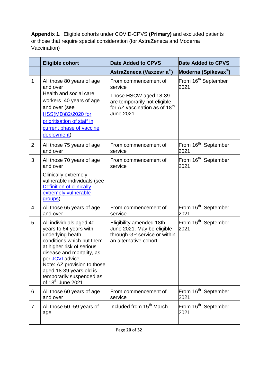**Appendix 1.** Eligible cohorts under COVID-CPVS **(Primary)** and excluded patients or those that require special consideration (for AstraZeneca and Moderna Vaccination)

|                | <b>Eligible cohort</b>                                                                                                                                                                                                                                                                                  | <b>Date Added to CPVS</b>                                                                                                                                 | <b>Date Added to CPVS</b>               |
|----------------|---------------------------------------------------------------------------------------------------------------------------------------------------------------------------------------------------------------------------------------------------------------------------------------------------------|-----------------------------------------------------------------------------------------------------------------------------------------------------------|-----------------------------------------|
|                |                                                                                                                                                                                                                                                                                                         | <b>AstraZeneca (Vaxzevria®)</b>                                                                                                                           | Moderna (Spikevax®)                     |
| 1              | All those 80 years of age<br>and over<br>Health and social care<br>workers 40 years of age<br>and over (see<br>HSS(MD)82/2020 for<br>prioritisation of staff in<br>current phase of vaccine<br>deployment)                                                                                              | From commencement of<br>service<br>Those HSCW aged 18-39<br>are temporarily not eligible<br>for AZ vaccination as of 18 <sup>th</sup><br><b>June 2021</b> | From 16 <sup>th</sup> September<br>2021 |
| $\overline{2}$ | All those 75 years of age<br>and over                                                                                                                                                                                                                                                                   | From commencement of<br>service                                                                                                                           | From 16 <sup>th</sup> September<br>2021 |
| 3              | All those 70 years of age<br>and over<br><b>Clinically extremely</b><br>vulnerable individuals (see<br>Definition of clinically<br>extremely vulnerable<br>groups)                                                                                                                                      | From commencement of<br>service                                                                                                                           | From 16 <sup>th</sup> September<br>2021 |
| $\overline{4}$ | All those 65 years of age<br>and over                                                                                                                                                                                                                                                                   | From commencement of<br>service                                                                                                                           | From 16 <sup>th</sup> September<br>2021 |
| 5              | All individuals aged 40<br>years to 64 years with<br>underlying heath<br>conditions which put them<br>at higher risk of serious<br>disease and mortality, as<br>per JCVI advice.<br>Note: AZ provision to those<br>aged 18-39 years old is<br>temporarily suspended as<br>of 18 <sup>th</sup> June 2021 | Eligibility amended 18th<br>June 2021. May be eligible<br>through GP service or within<br>an alternative cohort                                           | From 16 <sup>th</sup> September<br>2021 |
| 6              | All those 60 years of age<br>and over                                                                                                                                                                                                                                                                   | From commencement of<br>service                                                                                                                           | From 16 <sup>th</sup> September<br>2021 |
| $\overline{7}$ | All those 50 -59 years of<br>age                                                                                                                                                                                                                                                                        | Included from 15 <sup>th</sup> March                                                                                                                      | From 16 <sup>th</sup> September<br>2021 |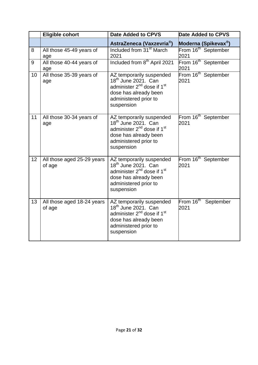|    | <b>Eligible cohort</b>               | <b>Date Added to CPVS</b>                                                                                                                                                         | <b>Date Added to CPVS</b>                  |
|----|--------------------------------------|-----------------------------------------------------------------------------------------------------------------------------------------------------------------------------------|--------------------------------------------|
|    |                                      | AstraZeneca (Vaxzevria <sup>®</sup> )                                                                                                                                             | Moderna (Spikevax®)                        |
| 8  | All those 45-49 years of<br>age      | Included from 31 <sup>st</sup> March<br>2021                                                                                                                                      | From 16 <sup>th</sup> September<br>2021    |
| 9  | All those 40-44 years of<br>age      | Included from 8 <sup>th</sup> April 2021                                                                                                                                          | From 16 <sup>th</sup> September<br>2021    |
| 10 | All those 35-39 years of<br>age      | AZ temporarily suspended<br>18 <sup>th</sup> June 2021. Can<br>administer 2 <sup>nd</sup> dose if 1 <sup>st</sup><br>dose has already been<br>administered prior to<br>suspension | From 16 <sup>th</sup> September<br>2021    |
| 11 | All those 30-34 years of<br>age      | AZ temporarily suspended<br>18 <sup>th</sup> June 2021. Can<br>administer 2 <sup>nd</sup> dose if 1 <sup>st</sup><br>dose has already been<br>administered prior to<br>suspension | From 16 <sup>th</sup> September<br>2021    |
| 12 | All those aged 25-29 years<br>of age | AZ temporarily suspended<br>18 <sup>th</sup> June 2021. Can<br>administer 2 <sup>nd</sup> dose if 1 <sup>st</sup><br>dose has already been<br>administered prior to<br>suspension | From 16 <sup>th</sup> September<br>2021    |
| 13 | All those aged 18-24 years<br>of age | AZ temporarily suspended<br>18 <sup>th</sup> June 2021, Can<br>administer 2 <sup>nd</sup> dose if 1 <sup>st</sup><br>dose has already been<br>administered prior to<br>suspension | From $16^{\text{th}}$<br>September<br>2021 |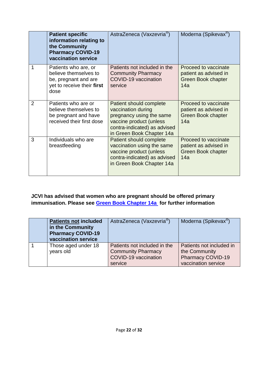|                | <b>Patient specific</b><br>information relating to<br>the Community<br><b>Pharmacy COVID-19</b><br>vaccination service | AstraZeneca (Vaxzevria <sup>®</sup> )                                                                                                                             | Moderna (Spikevax <sup>®</sup> )                                                  |
|----------------|------------------------------------------------------------------------------------------------------------------------|-------------------------------------------------------------------------------------------------------------------------------------------------------------------|-----------------------------------------------------------------------------------|
|                | Patients who are, or<br>believe themselves to<br>be, pregnant and are<br>yet to receive their first<br>dose            | Patients not included in the<br><b>Community Pharmacy</b><br>COVID-19 vaccination<br>service                                                                      | Proceed to vaccinate<br>patient as advised in<br><b>Green Book chapter</b><br>14a |
| $\overline{2}$ | Patients who are or<br>believe themselves to<br>be pregnant and have<br>received their first dose                      | Patient should complete<br>vaccination during<br>pregnancy using the same<br>vaccine product (unless<br>contra-indicated) as advised<br>in Green Book Chapter 14a | Proceed to vaccinate<br>patient as advised in<br><b>Green Book chapter</b><br>14a |
| 3              | Individuals who are<br>breastfeeding                                                                                   | Patient should complete<br>vaccination using the same<br>vaccine product (unless<br>contra-indicated) as advised<br>in Green Book Chapter 14a                     | Proceed to vaccinate<br>patient as advised in<br><b>Green Book chapter</b><br>14a |

## **JCVI has advised that women who are pregnant should be offered primary immunisation. Please see [Green Book](https://assets.publishing.service.gov.uk/government/uploads/system/uploads/attachment_data/file/1037340/Greenbook-chapter-14a-30Nov21.pdf) Chapter 14a for further information**

| <b>Patients not included</b><br>in the Community<br><b>Pharmacy COVID-19</b><br>vaccination service | AstraZeneca (Vaxzevria <sup>®</sup> ) | Moderna (Spikevax <sup>®</sup> ) |
|-----------------------------------------------------------------------------------------------------|---------------------------------------|----------------------------------|
| Those aged under 18                                                                                 | Patients not included in the          | Patients not included in         |
| years old                                                                                           | <b>Community Pharmacy</b>             | the Community                    |
|                                                                                                     | COVID-19 vaccination                  | Pharmacy COVID-19                |
|                                                                                                     | service                               | vaccination service              |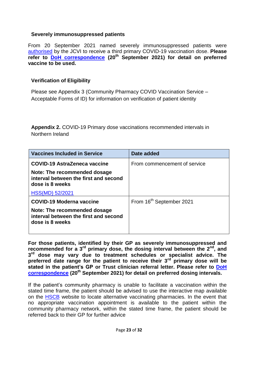#### **Severely immunosuppressed patients**

From 20 September 2021 named severely immunosuppressed patients were [authorised](https://www.health-ni.gov.uk/sites/default/files/publications/health/doh-hss-md-66-2021.pdf) by the JCVI to receive a third primary COVID-19 vaccination dose. **Please refer to [DoH correspondence](https://www.health-ni.gov.uk/sites/default/files/publications/health/doh-hss-md-66-2021.pdf) (20th September 2021) for detail on preferred vaccine to be used.** 

#### **Verification of Eligibility**

Please see Appendix 3 (Community Pharmacy COVID Vaccination Service – Acceptable Forms of ID) for information on verification of patient identity

**Appendix 2.** COVID-19 Primary dose vaccinations recommended intervals in Northern Ireland

| <b>Vaccines Included in Service</b>                                                      | Date added                           |
|------------------------------------------------------------------------------------------|--------------------------------------|
| <b>COVID-19 AstraZeneca vaccine</b>                                                      | From commencement of service         |
| Note: The recommended dosage<br>interval between the first and second<br>dose is 8 weeks |                                      |
| HSS(MD) 52/2021                                                                          |                                      |
| <b>COVID-19 Moderna vaccine</b>                                                          | From 16 <sup>th</sup> September 2021 |
| Note: The recommended dosage<br>interval between the first and second<br>dose is 8 weeks |                                      |

**For those patients, identified by their GP as severely immunosuppressed and recommended for a 3rd primary dose, the dosing interval between the 2nd, and 3 rd dose may vary due to treatment schedules or specialist advice. The preferred date range for the patient to receive their 3rd primary dose will be stated in the patient's GP or Trust clinician referral letter. Please refer to [DoH](https://www.health-ni.gov.uk/sites/default/files/publications/health/doh-hss-md-66-2021.pdf)  [correspondence](https://www.health-ni.gov.uk/sites/default/files/publications/health/doh-hss-md-66-2021.pdf) (20th September 2021) for detail on preferred dosing intervals.** 

<span id="page-22-0"></span>If the patient's community pharmacy is unable to facilitate a vaccination within the stated time frame, the patient should be advised to use the interactive map available on the [HSCB](http://www.hscboard.hscni.net/community-pharmacy-vaccinations/) website to locate alternative vaccinating pharmacies. In the event that no appropriate vaccination appointment is available to the patient within the community pharmacy network, within the stated time frame, the patient should be referred back to their GP for further advice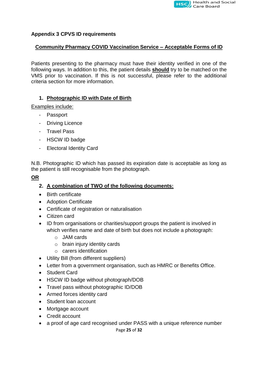

#### **Appendix 3 CPVS ID requirements**

#### **Community Pharmacy COVID Vaccination Service – Acceptable Forms of ID**

Patients presenting to the pharmacy must have their identity verified in one of the following ways. In addition to this, the patient details **should** try to be matched on the VMS prior to vaccination. If this is not successful, please refer to the additional criteria section for more information.

#### **1. Photographic ID with Date of Birth**

Examples include:

- Passport
- Driving Licence
- Travel Pass
- HSCW ID badge
- Electoral Identity Card

N.B. Photographic ID which has passed its expiration date is acceptable as long as the patient is still recognisable from the photograph.

#### **OR**

#### **2. A combination of TWO of the following documents:**

- Birth certificate
- Adoption Certificate
- Certificate of registration or naturalisation
- Citizen card
- ID from organisations or charities/support groups the patient is involved in which verifies name and date of birth but does not include a photograph:
	- o JAM cards
	- o brain injury identity cards
	- o carers identification
- Utility Bill (from different suppliers)
- Letter from a government organisation, such as HMRC or Benefits Office.
- Student Card
- HSCW ID badge without photograph/DOB
- Travel pass without photographic ID/DOB
- Armed forces identity card
- Student loan account
- Mortgage account
- Credit account
- a proof of age card recognised under PASS with a unique reference number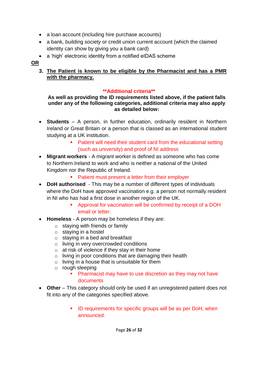- a loan account (including hire purchase accounts)
- a bank, building society or credit union current account (which the claimed identity can show by giving you a bank card)
- a 'high' electronic identity from a notified eIDAS scheme

## **OR**

**3. The Patient is known to be eligible by the Pharmacist and has a PMR with the pharmacy.**

## **\*\*Additional criteria\*\***

#### **As well as providing the ID requirements listed above, if the patient falls under any of the following categories, additional criteria may also apply as detailed below:**

- **Students** A person, in further education, ordinarily resident in Northern Ireland or Great Britain or a person that is classed as an international student studying at a UK institution.
	- **Patient will need their student card from the educational setting** (such as university) and proof of NI address
- **Migrant workers** A migrant worker is defined as someone who has come to Northern Ireland to work and who is neither a national of the United Kingdom nor the Republic of Ireland.
	- **Patient must present a letter from their employer**
- **DoH authorised** This may be a number of different types of individuals where the DoH have approved vaccination e.g. a person not normally resident in NI who has had a first dose in another region of the UK.
	- **Approval for vaccination will be confirmed by receipt of a DOH** email or letter.
- **Homeless** A person may be homeless if they are:
	- $\circ$  staying with friends or family
	- o staying in a hostel
	- o staying in a bed and breakfast
	- o living in very overcrowded conditions
	- $\circ$  at risk of violence if they stay in their home
	- $\circ$  living in poor conditions that are damaging their health
	- $\circ$  living in a house that is unsuitable for them
	- o rough sleeping
		- **Pharmacist may have to use discretion as they may not have** documents
- **Other** This category should only be used if an unregistered patient does not fit into any of the categories specified above.
	- **ID requirements for specific groups will be as per DoH, when** announced.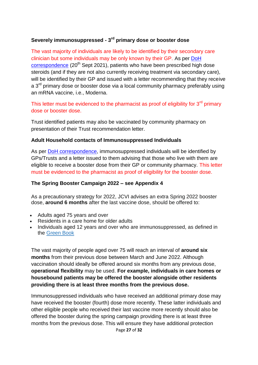#### **Severely immunosuppressed - 3 rd primary dose or booster dose**

The vast majority of individuals are likely to be identified by their secondary care clinician but some individuals may be only known by their GP. As per [DoH](https://www.health-ni.gov.uk/sites/default/files/publications/health/doh-hss-md-66-2021.pdf)  [correspondence](https://www.health-ni.gov.uk/sites/default/files/publications/health/doh-hss-md-66-2021.pdf) (20<sup>th</sup> Sept 2021), patients who have been prescribed high dose steroids (and if they are not also currently receiving treatment via secondary care), will be identified by their GP and issued with a letter recommending that they receive a 3<sup>rd</sup> primary dose or booster dose via a local community pharmacy preferably using an mRNA vaccine, i.e., Moderna.

## This letter must be evidenced to the pharmacist as proof of eligibility for  $3<sup>rd</sup>$  primary dose or booster dose.

Trust identified patients may also be vaccinated by community pharmacy on presentation of their Trust recommendation letter.

#### **Adult Household contacts of Immunosuppressed Individuals**

As per [DoH correspondence,](https://www.health-ni.gov.uk/sites/default/files/publications/health/doh-hss-md-69-2021_0.pdf) immunosuppressed individuals will be identified by GPs/Trusts and a letter issued to them advising that those who live with them are eligible to receive a booster dose from their GP or community pharmacy. This letter must be evidenced to the pharmacist as proof of eligibility for the booster dose.

#### **The Spring Booster Campaign 2022 – see Appendix 4**

As a precautionary strategy for 2022, JCVI advises an extra Spring 2022 booster dose, **around 6 months** after the last vaccine dose, should be offered to:

- Adults aged 75 years and over
- Residents in a care home for older adults
- Individuals aged 12 years and over who are immunosuppressed, as defined in the [Green Book](https://www.gov.uk/government/publications/covid-19-the-green-book-chapter-14a)

<span id="page-26-0"></span>The vast majority of people aged over 75 will reach an interval of **around six months** from their previous dose between March and June 2022. Although vaccination should ideally be offered around six months from any previous dose, **operational flexibility** may be used. **For example, individuals in care homes or housebound patients may be offered the booster alongside other residents providing there is at least three months from the previous dose.**

Immunosuppressed individuals who have received an additional primary dose may have received the booster (fourth) dose more recently. These latter individuals and other eligible people who received their last vaccine more recently should also be offered the booster during the spring campaign providing there is at least three months from the previous dose. This will ensure they have additional protection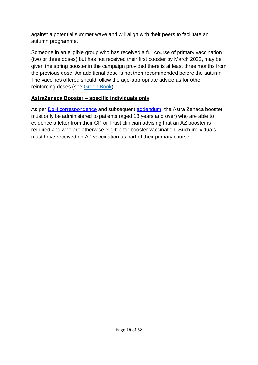against a potential summer wave and will align with their peers to facilitate an autumn programme.

Someone in an eligible group who has received a full course of primary vaccination (two or three doses) but has not received their first booster by March 2022, may be given the spring booster in the campaign provided there is at least three months from the previous dose. An additional dose is not then recommended before the autumn. The vaccines offered should follow the age-appropriate advice as for other reinforcing doses (see [Green Book\)](https://www.gov.uk/government/publications/covid-19-the-green-book-chapter-14a).

## **AstraZeneca Booster – specific individuals only**

As per DoH [correspondence](https://www.health-ni.gov.uk/sites/default/files/publications/health/doh-hss-md-75-2021.pdf) and subsequent [addendum,](https://www.health-ni.gov.uk/sites/default/files/publications/health/doh-hss-add-75.pdf) the Astra Zeneca booster must only be administered to patients (aged 18 years and over) who are able to evidence a letter from their GP or Trust clinician advising that an AZ booster is required and who are otherwise eligible for booster vaccination. Such individuals must have received an AZ vaccination as part of their primary course.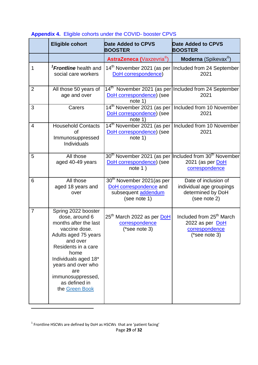|                | <b>Eligible cohort</b>                                                                                                                                                                                                                                          | <b>Date Added to CPVS</b><br><b>BOOSTER</b>                                                             | <b>Date Added to CPVS</b><br><b>BOOSTER</b>                                                                           |
|----------------|-----------------------------------------------------------------------------------------------------------------------------------------------------------------------------------------------------------------------------------------------------------------|---------------------------------------------------------------------------------------------------------|-----------------------------------------------------------------------------------------------------------------------|
|                |                                                                                                                                                                                                                                                                 | <b>AstraZeneca (Vaxzevria®)</b>                                                                         | Moderna (Spikevax <sup>®</sup> )                                                                                      |
| 1              | <sup>1</sup> Frontline health and<br>social care workers                                                                                                                                                                                                        | 14 <sup>th</sup> November 2021 (as per<br>DoH correspondence)                                           | Included from 24 September<br>2021                                                                                    |
| $\overline{2}$ | All those 50 years of<br>age and over                                                                                                                                                                                                                           | DoH correspondence) (see<br>note 1)                                                                     | 14 <sup>th</sup> November 2021 (as per Included from 24 September<br>2021                                             |
| 3              | Carers                                                                                                                                                                                                                                                          | 14 <sup>th</sup> November 2021 (as per<br>DoH correspondence) (see<br>note 1)                           | Included from 10 November<br>2021                                                                                     |
| $\overline{4}$ | <b>Household Contacts</b><br>οf<br>Immunosuppressed<br>Individuals                                                                                                                                                                                              | 14 <sup>th</sup> November 2021 (as per<br>DoH correspondence) (see<br>note 1)                           | Included from 10 November<br>2021                                                                                     |
| 5              | All those<br>aged 40-49 years                                                                                                                                                                                                                                   | DoH correspondence) (see<br>note $1)$                                                                   | 30 <sup>th</sup> November 2021 (as per  Included from 30 <sup>th</sup> November<br>2021 (as per DoH<br>correspondence |
| 6              | All those<br>aged 18 years and<br>over                                                                                                                                                                                                                          | 30 <sup>th</sup> November 2021 (as per<br>DoH correspondence and<br>subsequent addendum<br>(see note 1) | Date of inclusion of<br>individual age groupings<br>determined by DoH<br>(see note 2)                                 |
| $\overline{7}$ | Spring 2022 booster<br>dose, around 6<br>months after the last<br>vaccine dose.<br>Adults aged 75 years<br>and over<br>Residents in a care<br>home<br>Individuals aged 18*<br>years and over who<br>are<br>immunosuppressed,<br>as defined in<br>the Green Book | 25 <sup>th</sup> March 2022 as per <b>DoH</b><br>correspondence<br>(*see note 3)                        | Included from 25 <sup>th</sup> March<br>2022 as per DoH<br>correspondence<br>$(*see note 3)$                          |

## **Appendix 4.** Eligible cohorts under the COVID- booster CPVS

**.** 

 $<sup>1</sup>$  Frontline HSCWs are defined by DoH as HSCWs that are 'patient facing'</sup>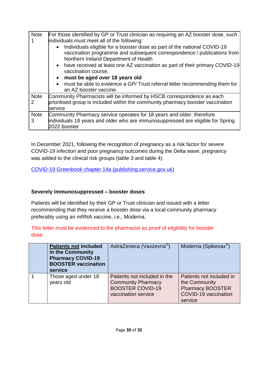| <b>Note</b> | For those identified by GP or Trust clinician as requiring an AZ booster dose, such                                                                              |  |  |  |
|-------------|------------------------------------------------------------------------------------------------------------------------------------------------------------------|--|--|--|
|             | individuals must meet all of the following:                                                                                                                      |  |  |  |
|             | Individuals eligible for a booster dose as part of the national COVID-19<br>$\bullet$<br>vaccination programme and subsequent correspondence / publications from |  |  |  |
|             | Northern Ireland Department of Health                                                                                                                            |  |  |  |
|             | have received at least one AZ vaccination as part of their primary COVID-19<br>$\bullet$<br>vaccination course,                                                  |  |  |  |
|             | must be aged over 18 years old<br>$\bullet$                                                                                                                      |  |  |  |
|             | must be able to evidence a GP/ Trust referral letter recommending them for                                                                                       |  |  |  |
|             | an AZ booster vaccine.                                                                                                                                           |  |  |  |
| Note        | Community Pharmacists will be informed by HSCB correspondence as each                                                                                            |  |  |  |
| 2           | prioritised group is included within the community pharmacy booster vaccination                                                                                  |  |  |  |
|             | service                                                                                                                                                          |  |  |  |
| Note        | Community Pharmacy service operates for 18 years and older, therefore                                                                                            |  |  |  |
| 3           | individuals 18 years and older who are immunosuppressed are eligible for Spring                                                                                  |  |  |  |
|             | 2022 booster                                                                                                                                                     |  |  |  |

<span id="page-29-0"></span>In December 2021, following the recognition of pregnancy as a risk factor for severe COVID-19 infection and poor pregnancy outcomes during the Delta wave, pregnancy was added to the clinical risk groups (table 3 and table 4)

[COVID-19 Greenbook chapter 14a \(publishing.service.gov.uk\)](https://assets.publishing.service.gov.uk/government/uploads/system/uploads/attachment_data/file/1045852/Greenbook-chapter-14a-11Jan22.pdf)

## **Severely immunosuppressed – booster doses**

Patients will be identified by their GP or Trust clinician and issued with a letter recommending that they receive a booster dose via a local community pharmacy preferably using an mRNA vaccine, i.e., Moderna.

This letter must be evidenced to the pharmacist as proof of eligibility for booster dose.

| <b>Patients not included</b><br>in the Community<br><b>Pharmacy COVID-19</b><br><b>BOOSTER vaccination</b><br>service | AstraZeneca (Vaxzevria <sup>®</sup> )                                                                       | Moderna (Spikevax <sup>®</sup> )                                                                        |
|-----------------------------------------------------------------------------------------------------------------------|-------------------------------------------------------------------------------------------------------------|---------------------------------------------------------------------------------------------------------|
| Those aged under 18<br>years old                                                                                      | Patients not included in the<br><b>Community Pharmacy</b><br><b>BOOSTER COVID-19</b><br>vaccination service | Patients not included in<br>the Community<br><b>Pharmacy BOOSTER</b><br>COVID-19 vaccination<br>service |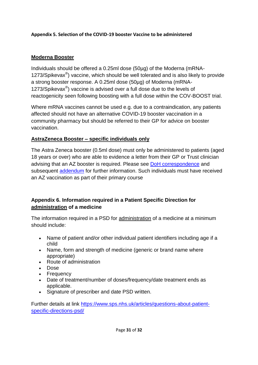#### **Appendix 5. Selection of the COVID-19 booster Vaccine to be administered**

### **Moderna Booster**

Individuals should be offered a 0.25ml dose (50µg) of the Moderna (mRNA-1273/Spikevax $\mathcal{B}$ ) vaccine, which should be well tolerated and is also likely to provide a strong booster response. A 0.25ml dose (50µg) of Moderna (mRNA-1273/Spikevax<sup>®</sup>) vaccine is advised over a full dose due to the levels of reactogenicity seen following boosting with a full dose within the COV-BOOST trial.

Where mRNA vaccines cannot be used e.g. due to a contraindication, any patients affected should not have an alternative COVID-19 booster vaccination in a community pharmacy but should be referred to their GP for advice on booster vaccination.

#### **AstraZeneca Booster – specific individuals only**

The Astra Zeneca booster (0.5ml dose) must only be administered to patients (aged 18 years or over) who are able to evidence a letter from their GP or Trust clinician advising that an AZ booster is required. Please see [DoH correspondence](https://www.health-ni.gov.uk/sites/default/files/publications/health/doh-hss-md-75-2021.pdf) and subsequent [addendum](https://www.health-ni.gov.uk/sites/default/files/publications/health/doh-hss-add-75.pdf) for further information. Such individuals must have received an AZ vaccination as part of their primary course

## **Appendix 6. Information required in a Patient Specific Direction for administration of a medicine**

The information required in a PSD for administration of a medicine at a minimum should include:

- Name of patient and/or other individual patient identifiers including age if a child
- Name, form and strength of medicine (generic or brand name where appropriate)
- Route of administration
- Dose
- Frequency
- Date of treatment/number of doses/frequency/date treatment ends as applicable.
- Signature of prescriber and date PSD written.

Further details at link [https://www.sps.nhs.uk/articles/questions-about-patient](https://www.sps.nhs.uk/articles/questions-about-patient-specific-directions-psd/)[specific-directions-psd/](https://www.sps.nhs.uk/articles/questions-about-patient-specific-directions-psd/)